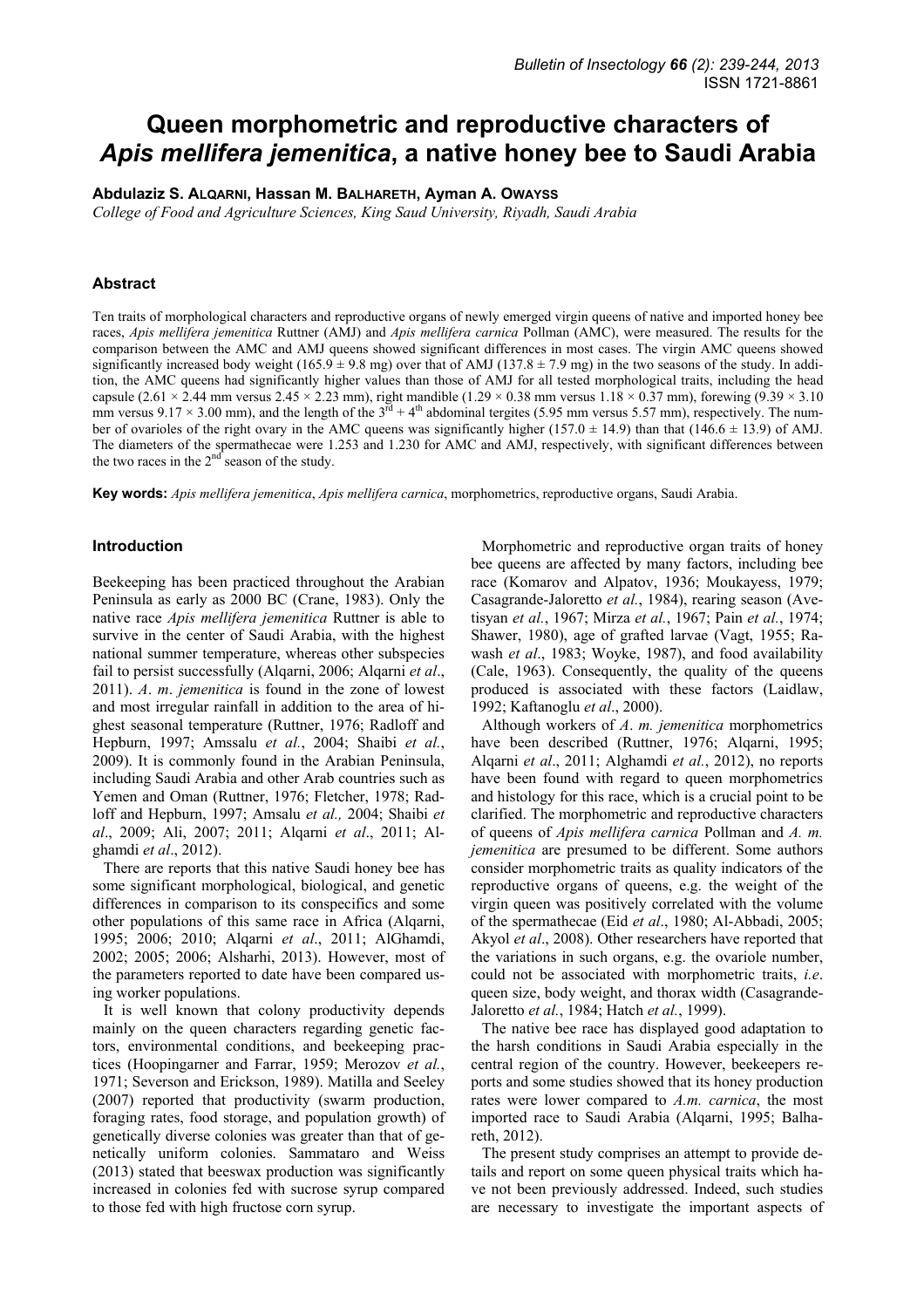# **Queen morphometric and reproductive characters of**  *Apis mellifera jemenitica***, a native honey bee to Saudi Arabia**

**Abdulaziz S. ALQARNI, Hassan M. BALHARETH, Ayman A. OWAYSS**

*College of Food and Agriculture Sciences, King Saud University, Riyadh, Saudi Arabia* 

# **Abstract**

Ten traits of morphological characters and reproductive organs of newly emerged virgin queens of native and imported honey bee races, *Apis mellifera jemenitica* Ruttner (AMJ) and *Apis mellifera carnica* Pollman (AMC), were measured. The results for the comparison between the AMC and AMJ queens showed significant differences in most cases. The virgin AMC queens showed significantly increased body weight (165.9  $\pm$  9.8 mg) over that of AMJ (137.8  $\pm$  7.9 mg) in the two seasons of the study. In addition, the AMC queens had significantly higher values than those of AMJ for all tested morphological traits, including the head capsule (2.61 × 2.44 mm versus 2.45 × 2.23 mm), right mandible (1.29 × 0.38 mm versus 1.18 × 0.37 mm), forewing (9.39 × 3.10 mm versus 9.17 × 3.00 mm), and the length of the  $3^{\text{rd}} + 4^{\text{th}}$  abdominal tergites (5.95 mm versus 5.57 mm), respectively. The number of ovarioles of the right ovary in the AMC queens was significantly higher ( $157.0 \pm 14.9$ ) than that ( $146.6 \pm 13.9$ ) of AMJ. The diameters of the spermathecae were 1.253 and 1.230 for AMC and AMJ, respectively, with significant differences between the two races in the  $2<sup>nd</sup>$  season of the study.

**Key words:** *Apis mellifera jemenitica*, *Apis mellifera carnica*, morphometrics, reproductive organs, Saudi Arabia.

## **Introduction**

Beekeeping has been practiced throughout the Arabian Peninsula as early as 2000 BC (Crane, 1983). Only the native race *Apis mellifera jemenitica* Ruttner is able to survive in the center of Saudi Arabia, with the highest national summer temperature, whereas other subspecies fail to persist successfully (Alqarni, 2006; Alqarni *et al*., 2011). *A*. *m*. *jemenitica* is found in the zone of lowest and most irregular rainfall in addition to the area of highest seasonal temperature (Ruttner, 1976; Radloff and Hepburn, 1997; Amssalu *et al.*, 2004; Shaibi *et al.*, 2009). It is commonly found in the Arabian Peninsula, including Saudi Arabia and other Arab countries such as Yemen and Oman (Ruttner, 1976; Fletcher, 1978; Radloff and Hepburn, 1997; Amsalu *et al.,* 2004; Shaibi *et al*., 2009; Ali, 2007; 2011; Alqarni *et al*., 2011; Alghamdi *et al*., 2012).

There are reports that this native Saudi honey bee has some significant morphological, biological, and genetic differences in comparison to its conspecifics and some other populations of this same race in Africa (Alqarni, 1995; 2006; 2010; Alqarni *et al*., 2011; AlGhamdi, 2002; 2005; 2006; Alsharhi, 2013). However, most of the parameters reported to date have been compared using worker populations.

It is well known that colony productivity depends mainly on the queen characters regarding genetic factors, environmental conditions, and beekeeping practices (Hoopingarner and Farrar, 1959; Merozov *et al.*, 1971; Severson and Erickson, 1989). Matilla and Seeley (2007) reported that productivity (swarm production, foraging rates, food storage, and population growth) of genetically diverse colonies was greater than that of genetically uniform colonies. Sammataro and Weiss (2013) stated that beeswax production was significantly increased in colonies fed with sucrose syrup compared to those fed with high fructose corn syrup.

Morphometric and reproductive organ traits of honey bee queens are affected by many factors, including bee race (Komarov and Alpatov, 1936; Moukayess, 1979; Casagrande-Jaloretto *et al.*, 1984), rearing season (Avetisyan *et al.*, 1967; Mirza *et al.*, 1967; Pain *et al.*, 1974; Shawer, 1980), age of grafted larvae (Vagt, 1955; Rawash *et al*., 1983; Woyke, 1987), and food availability (Cale, 1963). Consequently, the quality of the queens produced is associated with these factors (Laidlaw, 1992; Kaftanoglu *et al*., 2000).

Although workers of *A*. *m. jemenitica* morphometrics have been described (Ruttner, 1976; Alqarni, 1995; Alqarni *et al*., 2011; Alghamdi *et al.*, 2012), no reports have been found with regard to queen morphometrics and histology for this race, which is a crucial point to be clarified. The morphometric and reproductive characters of queens of *Apis mellifera carnica* Pollman and *A. m. jemenitica* are presumed to be different. Some authors consider morphometric traits as quality indicators of the reproductive organs of queens, e.g. the weight of the virgin queen was positively correlated with the volume of the spermathecae (Eid *et al*., 1980; Al-Abbadi, 2005; Akyol *et al*., 2008). Other researchers have reported that the variations in such organs, e.g. the ovariole number, could not be associated with morphometric traits, *i.e*. queen size, body weight, and thorax width (Casagrande-Jaloretto *et al.*, 1984; Hatch *et al.*, 1999).

The native bee race has displayed good adaptation to the harsh conditions in Saudi Arabia especially in the central region of the country. However, beekeepers reports and some studies showed that its honey production rates were lower compared to *A.m. carnica*, the most imported race to Saudi Arabia (Alqarni, 1995; Balhareth, 2012).

The present study comprises an attempt to provide details and report on some queen physical traits which have not been previously addressed. Indeed, such studies are necessary to investigate the important aspects of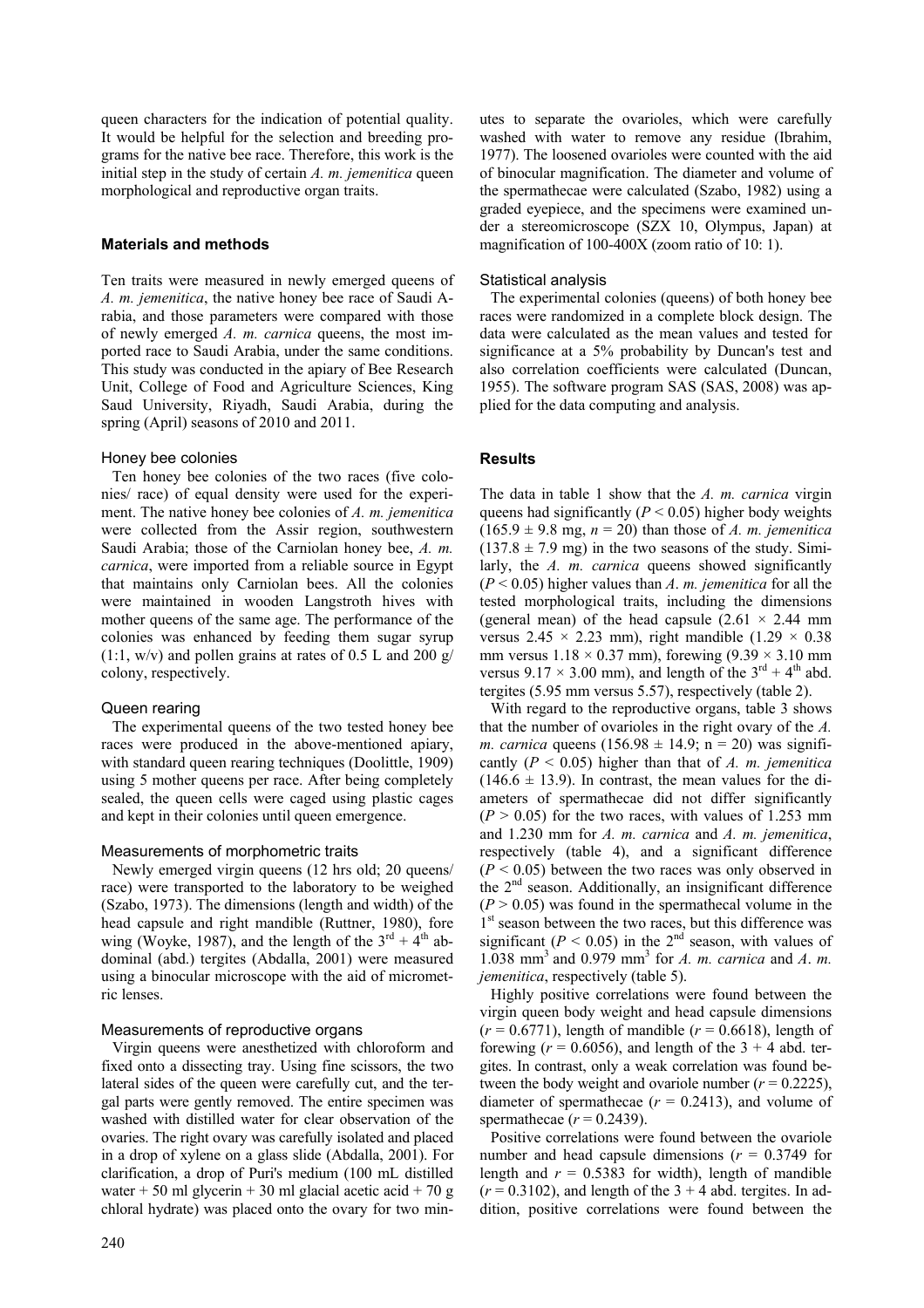queen characters for the indication of potential quality. It would be helpful for the selection and breeding programs for the native bee race. Therefore, this work is the initial step in the study of certain *A. m. jemenitica* queen morphological and reproductive organ traits.

#### **Materials and methods**

Ten traits were measured in newly emerged queens of *A. m. jemenitica*, the native honey bee race of Saudi Arabia, and those parameters were compared with those of newly emerged *A. m. carnica* queens, the most imported race to Saudi Arabia, under the same conditions. This study was conducted in the apiary of Bee Research Unit, College of Food and Agriculture Sciences, King Saud University, Riyadh, Saudi Arabia, during the spring (April) seasons of 2010 and 2011.

#### Honey bee colonies

Ten honey bee colonies of the two races (five colonies/ race) of equal density were used for the experiment. The native honey bee colonies of *A. m. jemenitica* were collected from the Assir region, southwestern Saudi Arabia; those of the Carniolan honey bee, *A. m. carnica*, were imported from a reliable source in Egypt that maintains only Carniolan bees. All the colonies were maintained in wooden Langstroth hives with mother queens of the same age. The performance of the colonies was enhanced by feeding them sugar syrup  $(1:1, w/v)$  and pollen grains at rates of 0.5 L and 200 g/ colony, respectively.

#### Queen rearing

The experimental queens of the two tested honey bee races were produced in the above-mentioned apiary, with standard queen rearing techniques (Doolittle, 1909) using 5 mother queens per race. After being completely sealed, the queen cells were caged using plastic cages and kept in their colonies until queen emergence.

## Measurements of morphometric traits

Newly emerged virgin queens (12 hrs old; 20 queens/ race) were transported to the laboratory to be weighed (Szabo, 1973). The dimensions (length and width) of the head capsule and right mandible (Ruttner, 1980), fore wing (Woyke, 1987), and the length of the  $3<sup>rd</sup> + 4<sup>th</sup>$  abdominal (abd.) tergites (Abdalla, 2001) were measured using a binocular microscope with the aid of micrometric lenses.

# Measurements of reproductive organs

Virgin queens were anesthetized with chloroform and fixed onto a dissecting tray. Using fine scissors, the two lateral sides of the queen were carefully cut, and the tergal parts were gently removed. The entire specimen was washed with distilled water for clear observation of the ovaries. The right ovary was carefully isolated and placed in a drop of xylene on a glass slide (Abdalla, 2001). For clarification, a drop of Puri's medium (100 mL distilled water + 50 ml glycerin + 30 ml glacial acetic acid + 70 g chloral hydrate) was placed onto the ovary for two minutes to separate the ovarioles, which were carefully washed with water to remove any residue (Ibrahim, 1977). The loosened ovarioles were counted with the aid of binocular magnification. The diameter and volume of the spermathecae were calculated (Szabo, 1982) using a graded eyepiece, and the specimens were examined under a stereomicroscope (SZX 10, Olympus, Japan) at magnification of 100-400X (zoom ratio of 10: 1).

#### Statistical analysis

The experimental colonies (queens) of both honey bee races were randomized in a complete block design. The data were calculated as the mean values and tested for significance at a 5% probability by Duncan's test and also correlation coefficients were calculated (Duncan, 1955). The software program SAS (SAS, 2008) was applied for the data computing and analysis.

# **Results**

The data in table 1 show that the *A. m. carnica* virgin queens had significantly ( $P < 0.05$ ) higher body weights  $(165.9 \pm 9.8 \text{ mg}, n = 20)$  than those of *A. m. jemenitica*  $(137.8 \pm 7.9 \text{ mg})$  in the two seasons of the study. Similarly, the *A. m. carnica* queens showed significantly (*P* < 0.05) higher values than *A*. *m. jemenitica* for all the tested morphological traits, including the dimensions (general mean) of the head capsule  $(2.61 \times 2.44 \text{ mm})$ versus  $2.45 \times 2.23$  mm), right mandible  $(1.29 \times 0.38)$ mm versus  $1.18 \times 0.37$  mm), forewing  $(9.39 \times 3.10$  mm versus  $9.17 \times 3.00$  mm), and length of the  $3^{\text{rd}} + 4^{\text{th}}$  abd. tergites (5.95 mm versus 5.57), respectively (table 2).

With regard to the reproductive organs, table 3 shows that the number of ovarioles in the right ovary of the *A. m. carnica* queens  $(156.98 \pm 14.9; n = 20)$  was significantly (*P* < 0.05) higher than that of *A. m. jemenitica*  $(146.6 \pm 13.9)$ . In contrast, the mean values for the diameters of spermathecae did not differ significantly  $(P > 0.05)$  for the two races, with values of 1.253 mm and 1.230 mm for *A. m. carnica* and *A. m. jemenitica*, respectively (table 4), and a significant difference  $(P < 0.05)$  between the two races was only observed in the  $2<sup>nd</sup>$  season. Additionally, an insignificant difference  $(P > 0.05)$  was found in the spermathecal volume in the 1<sup>st</sup> season between the two races, but this difference was significant ( $P < 0.05$ ) in the 2<sup>nd</sup> season, with values of 1.038 mm3 and 0.979 mm3 for *A. m. carnica* and *A*. *m. jemenitica*, respectively (table 5).

Highly positive correlations were found between the virgin queen body weight and head capsule dimensions  $(r = 0.6771)$ , length of mandible  $(r = 0.6618)$ , length of forewing  $(r = 0.6056)$ , and length of the  $3 + 4$  abd. tergites. In contrast, only a weak correlation was found between the body weight and ovariole number  $(r = 0.2225)$ , diameter of spermathecae  $(r = 0.2413)$ , and volume of spermathecae  $(r = 0.2439)$ .

Positive correlations were found between the ovariole number and head capsule dimensions  $(r = 0.3749)$  for length and  $r = 0.5383$  for width), length of mandible  $(r = 0.3102)$ , and length of the  $3 + 4$  abd. tergites. In addition, positive correlations were found between the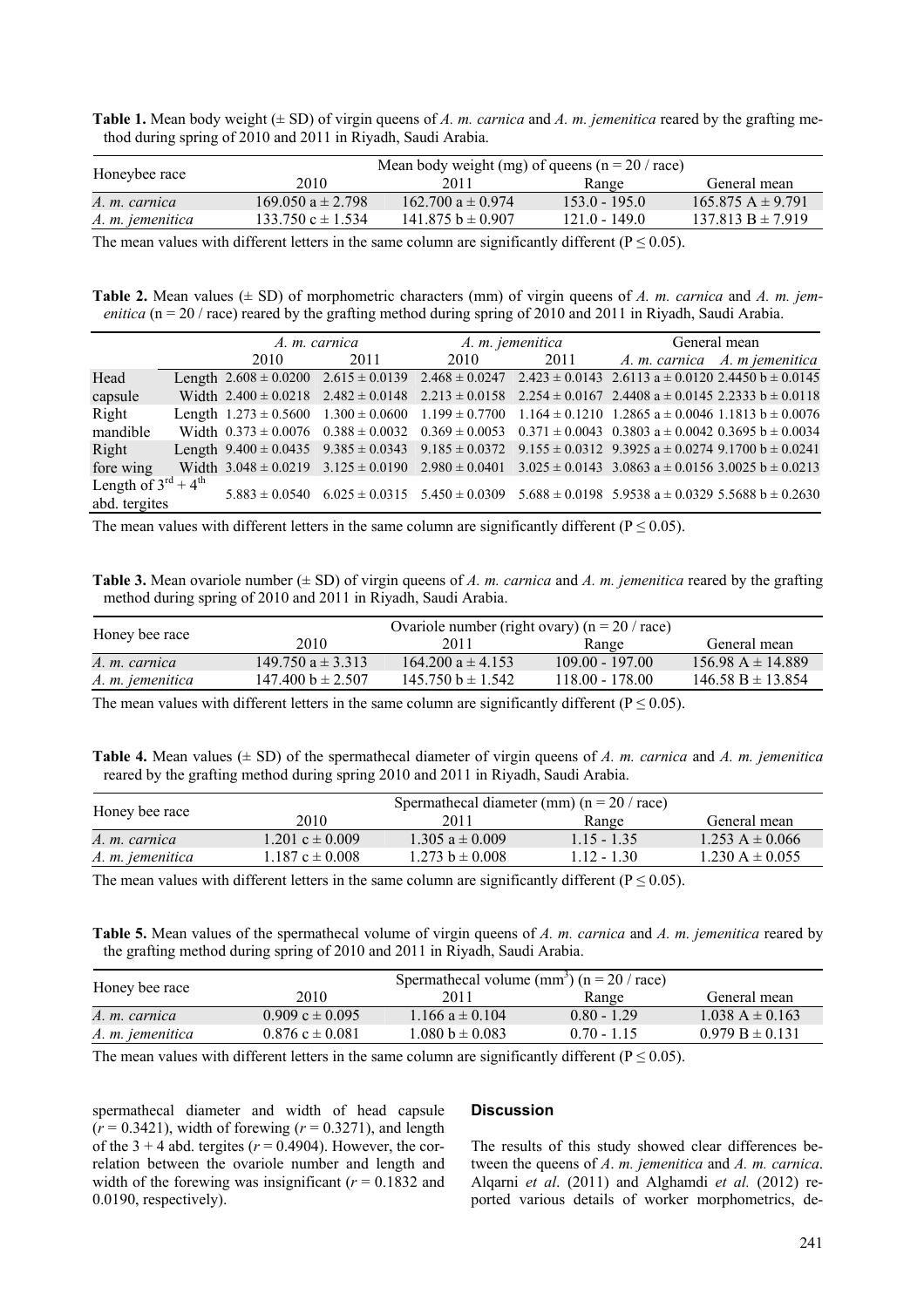**Table 1.** Mean body weight (± SD) of virgin queens of *A. m. carnica* and *A. m. jemenitica* reared by the grafting method during spring of 2010 and 2011 in Riyadh, Saudi Arabia.

| Honeybee race    | Mean body weight (mg) of queens ( $n = 20 / r$ ace) |                       |                 |                       |
|------------------|-----------------------------------------------------|-----------------------|-----------------|-----------------------|
|                  | 2010                                                | 2011                  | Range           | General mean          |
| A. m. carnica    | $169.050 a \pm 2.798$                               | 162.700 $a \pm 0.974$ | $1530 - 1950$   | $165.875 A \pm 9.791$ |
| A. m. jemenitica | $133.750 \text{ c} \pm 1.534$                       | $141.875 b \pm 0.907$ | $121.0 - 149.0$ | $137.813 B \pm 7.919$ |
|                  |                                                     |                       |                 |                       |

The mean values with different letters in the same column are significantly different ( $P \le 0.05$ ).

**Table 2.** Mean values (± SD) of morphometric characters (mm) of virgin queens of *A. m. carnica* and *A. m. jemenitica* ( $n = 20 / r$  race) reared by the grafting method during spring of 2010 and 2011 in Riyadh, Saudi Arabia.

|                                           | A. m. carnica |      | A. m. jemenitica |      | General mean                                                                                                                       |  |
|-------------------------------------------|---------------|------|------------------|------|------------------------------------------------------------------------------------------------------------------------------------|--|
|                                           | 2010          | 2011 | 2010             | 2011 | A. m. carnica A. m jemenitica                                                                                                      |  |
| Head                                      |               |      |                  |      | Length $2.608 \pm 0.0200$ $2.615 \pm 0.0139$ $2.468 \pm 0.0247$ $2.423 \pm 0.0143$ $2.6113$ a $\pm 0.0120$ $2.4450$ b $\pm 0.0145$ |  |
| capsule                                   |               |      |                  |      | Width $2.400 \pm 0.0218$ $2.482 \pm 0.0148$ $2.213 \pm 0.0158$ $2.254 \pm 0.0167$ $2.4408$ a $\pm 0.0145$ $2.2333$ b $\pm 0.0118$  |  |
| Right                                     |               |      |                  |      | Length $1.273 \pm 0.5600$ $1.300 \pm 0.0600$ $1.199 \pm 0.7700$ $1.164 \pm 0.1210$ $1.2865$ a $\pm 0.0046$ 1.1813 b $\pm 0.0076$   |  |
| mandible                                  |               |      |                  |      | Width $0.373 \pm 0.0076$ $0.388 \pm 0.0032$ $0.369 \pm 0.0053$ $0.371 \pm 0.0043$ $0.3803$ a $\pm 0.0042$ $0.3695$ b $\pm 0.0034$  |  |
| Right                                     |               |      |                  |      | Length $9.400 \pm 0.0435$ $9.385 \pm 0.0343$ $9.185 \pm 0.0372$ $9.155 \pm 0.0312$ $9.3925$ a $\pm 0.0274$ $9.1700$ b $\pm 0.0241$ |  |
| fore wing                                 |               |      |                  |      | Width $3.048 \pm 0.0219$ $3.125 \pm 0.0190$ $2.980 \pm 0.0401$ $3.025 \pm 0.0143$ $3.0863$ a $\pm 0.0156$ $3.0025$ b $\pm 0.0213$  |  |
| Length of $3^{\text{rd}} + 4^{\text{th}}$ |               |      |                  |      | $5.883 \pm 0.0540$ 6.025 $\pm$ 0.0315 5.450 $\pm$ 0.0309 5.688 $\pm$ 0.0198 5.9538 a $\pm$ 0.0329 5.5688 b $\pm$ 0.2630            |  |
| abd. tergites                             |               |      |                  |      |                                                                                                                                    |  |

The mean values with different letters in the same column are significantly different ( $P \le 0.05$ ).

**Table 3.** Mean ovariole number  $(\pm SD)$  of virgin queens of *A. m. carnica* and *A. m. jemenitica* reared by the grafting method during spring of 2010 and 2011 in Riyadh, Saudi Arabia.

| Honey bee race   | Ovariole number (right ovary) ( $n = 20 / r$ ace) |                       |                   |                       |
|------------------|---------------------------------------------------|-----------------------|-------------------|-----------------------|
|                  | 2010                                              | 2011                  | Range             | General mean          |
| A. m. carnica    | 149.750 $a \pm 3.313$                             | $164.200 a \pm 4.153$ | $109.00 - 197.00$ | $156.98 A \pm 14.889$ |
| A. m. jemenitica | $147.400 b \pm 2.507$                             | $145.750 b \pm 1.542$ | $118.00 - 178.00$ | $146.58 B \pm 13.854$ |

The mean values with different letters in the same column are significantly different ( $P \le 0.05$ ).

**Table 4.** Mean values (± SD) of the spermathecal diameter of virgin queens of *A. m. carnica* and *A. m. jemenitica* reared by the grafting method during spring 2010 and 2011 in Riyadh, Saudi Arabia.

| Honey bee race   | Spermathecal diameter (mm) $(n = 20 / race)$ |                     |               |                     |
|------------------|----------------------------------------------|---------------------|---------------|---------------------|
|                  | 2010                                         | 2011                | Range         | General mean        |
| A. m. carnica    | $1.201 c \pm 0.009$                          | $1.305 a \pm 0.009$ | $115 - 135$   | $1.253 A \pm 0.066$ |
| A. m. jemenitica | $1.187 c \pm 0.008$                          | $1.273 b \pm 0.008$ | $1.12 - 1.30$ | $1.230 A \pm 0.055$ |

The mean values with different letters in the same column are significantly different ( $P \le 0.05$ ).

**Table 5.** Mean values of the spermathecal volume of virgin queens of *A. m. carnica* and *A. m. jemenitica* reared by the grafting method during spring of 2010 and 2011 in Riyadh, Saudi Arabia.

| Honey bee race   | Spermathecal volume $\text{(mm)}$ (n = 20 / race) |                     |               |                     |
|------------------|---------------------------------------------------|---------------------|---------------|---------------------|
|                  | 2010.                                             | 2011                | Range         | General mean        |
| A. m. carnica    | $0.909 c \pm 0.095$                               | $1.166 a \pm 0.104$ | $0.80 - 1.29$ | $1.038 A \pm 0.163$ |
| A. m. jemenitica | $0.876$ c $\pm$ 0.081                             | $1.080 b \pm 0.083$ | $0.70 - 1.15$ | $0.979 B \pm 0.131$ |

The mean values with different letters in the same column are significantly different ( $P \le 0.05$ ).

spermathecal diameter and width of head capsule  $(r = 0.3421)$ , width of forewing  $(r = 0.3271)$ , and length of the  $3 + 4$  abd. tergites ( $r = 0.4904$ ). However, the correlation between the ovariole number and length and width of the forewing was insignificant  $(r = 0.1832$  and 0.0190, respectively).

#### **Discussion**

The results of this study showed clear differences between the queens of *A*. *m. jemenitica* and *A. m. carnica*. Alqarni *et al*. (2011) and Alghamdi *et al.* (2012) reported various details of worker morphometrics, de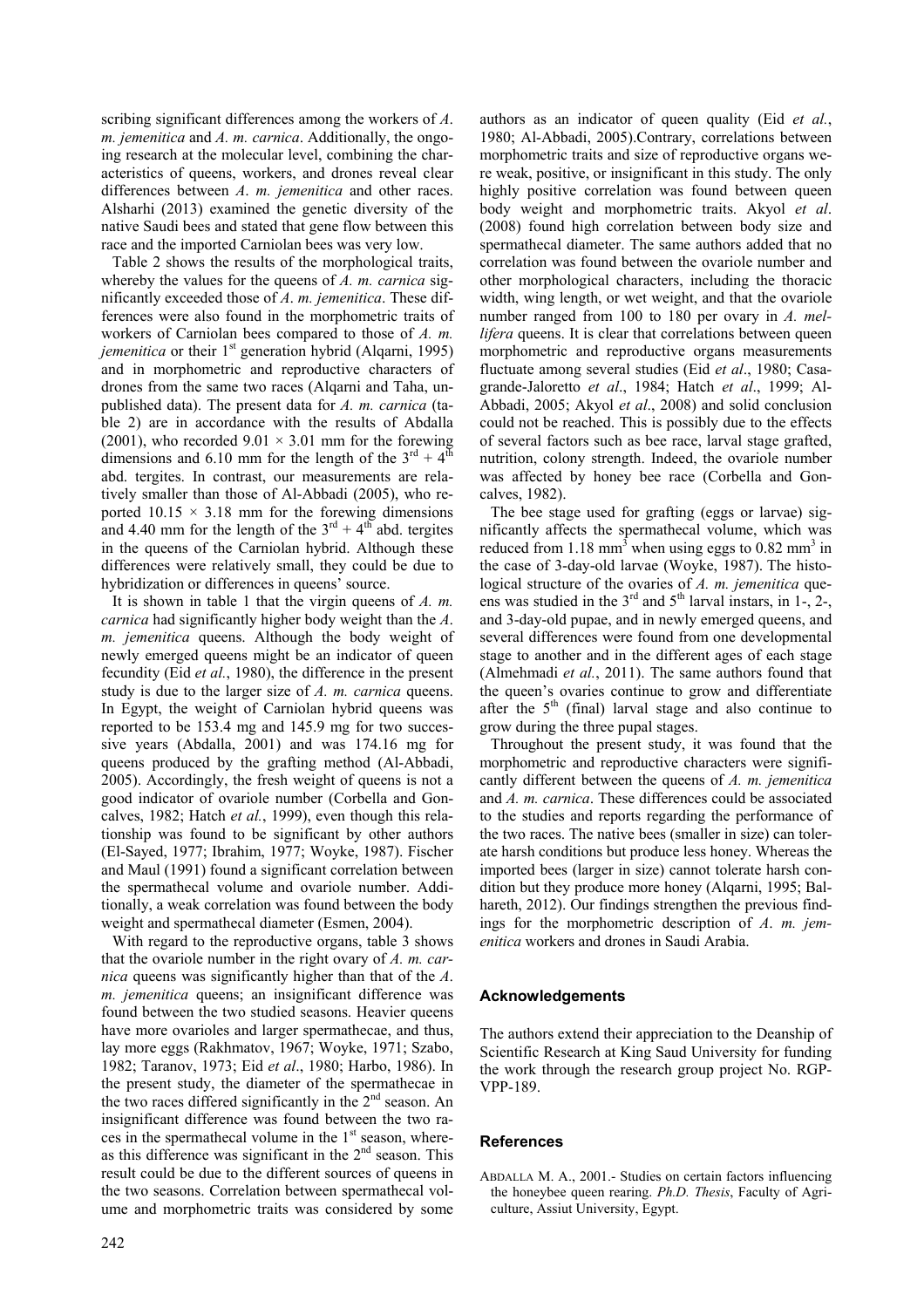scribing significant differences among the workers of *A*. *m. jemenitica* and *A. m. carnica*. Additionally, the ongoing research at the molecular level, combining the characteristics of queens, workers, and drones reveal clear differences between *A*. *m. jemenitica* and other races. Alsharhi (2013) examined the genetic diversity of the native Saudi bees and stated that gene flow between this race and the imported Carniolan bees was very low.

Table 2 shows the results of the morphological traits, whereby the values for the queens of *A. m. carnica* significantly exceeded those of *A*. *m. jemenitica*. These differences were also found in the morphometric traits of workers of Carniolan bees compared to those of *A. m. jemenitica* or their 1<sup>st</sup> generation hybrid (Alqarni, 1995) and in morphometric and reproductive characters of drones from the same two races (Alqarni and Taha, unpublished data). The present data for *A. m. carnica* (table 2) are in accordance with the results of Abdalla (2001), who recorded  $9.01 \times 3.01$  mm for the forewing dimensions and 6.10 mm for the length of the  $3<sup>rd</sup> + 4<sup>th</sup>$ abd. tergites. In contrast, our measurements are relatively smaller than those of Al-Abbadi (2005), who reported  $10.15 \times 3.18$  mm for the forewing dimensions and 4.40 mm for the length of the  $3<sup>rd</sup> + 4<sup>th</sup>$  abd. tergites in the queens of the Carniolan hybrid. Although these differences were relatively small, they could be due to hybridization or differences in queens' source.

It is shown in table 1 that the virgin queens of *A. m. carnica* had significantly higher body weight than the *A*. *m. jemenitica* queens. Although the body weight of newly emerged queens might be an indicator of queen fecundity (Eid *et al.*, 1980), the difference in the present study is due to the larger size of *A. m. carnica* queens. In Egypt, the weight of Carniolan hybrid queens was reported to be 153.4 mg and 145.9 mg for two successive years (Abdalla, 2001) and was 174.16 mg for queens produced by the grafting method (Al-Abbadi, 2005). Accordingly, the fresh weight of queens is not a good indicator of ovariole number (Corbella and Goncalves, 1982; Hatch *et al.*, 1999), even though this relationship was found to be significant by other authors (El-Sayed, 1977; Ibrahim, 1977; Woyke, 1987). Fischer and Maul (1991) found a significant correlation between the spermathecal volume and ovariole number. Additionally, a weak correlation was found between the body weight and spermathecal diameter (Esmen, 2004).

With regard to the reproductive organs, table 3 shows that the ovariole number in the right ovary of *A. m. carnica* queens was significantly higher than that of the *A*. *m. jemenitica* queens; an insignificant difference was found between the two studied seasons. Heavier queens have more ovarioles and larger spermathecae, and thus, lay more eggs (Rakhmatov, 1967; Woyke, 1971; Szabo, 1982; Taranov, 1973; Eid *et al*., 1980; Harbo, 1986). In the present study, the diameter of the spermathecae in the two races differed significantly in the 2<sup>nd</sup> season. An insignificant difference was found between the two races in the spermathecal volume in the  $1<sup>st</sup>$  season, whereas this difference was significant in the  $2<sup>nd</sup>$  season. This result could be due to the different sources of queens in the two seasons. Correlation between spermathecal volume and morphometric traits was considered by some authors as an indicator of queen quality (Eid *et al.*, 1980; Al-Abbadi, 2005).Contrary, correlations between morphometric traits and size of reproductive organs were weak, positive, or insignificant in this study. The only highly positive correlation was found between queen body weight and morphometric traits. Akyol *et al*. (2008) found high correlation between body size and spermathecal diameter. The same authors added that no correlation was found between the ovariole number and other morphological characters, including the thoracic width, wing length, or wet weight, and that the ovariole number ranged from 100 to 180 per ovary in *A. mellifera* queens. It is clear that correlations between queen morphometric and reproductive organs measurements fluctuate among several studies (Eid *et al*., 1980; Casagrande-Jaloretto *et al*., 1984; Hatch *et al*., 1999; Al-Abbadi, 2005; Akyol *et al*., 2008) and solid conclusion could not be reached. This is possibly due to the effects of several factors such as bee race, larval stage grafted, nutrition, colony strength. Indeed, the ovariole number was affected by honey bee race (Corbella and Goncalves, 1982).

The bee stage used for grafting (eggs or larvae) significantly affects the spermathecal volume, which was reduced from 1.18 mm<sup>3</sup> when using eggs to 0.82 mm<sup>3</sup> in the case of 3-day-old larvae (Woyke, 1987). The histological structure of the ovaries of *A. m. jemenitica* queens was studied in the  $3<sup>rd</sup>$  and  $5<sup>th</sup>$  larval instars, in 1-, 2-, and 3-day-old pupae, and in newly emerged queens, and several differences were found from one developmental stage to another and in the different ages of each stage (Almehmadi *et al.*, 2011). The same authors found that the queen's ovaries continue to grow and differentiate after the 5<sup>th</sup> (final) larval stage and also continue to grow during the three pupal stages.

Throughout the present study, it was found that the morphometric and reproductive characters were significantly different between the queens of *A. m. jemenitica*  and *A. m. carnica*. These differences could be associated to the studies and reports regarding the performance of the two races. The native bees (smaller in size) can tolerate harsh conditions but produce less honey. Whereas the imported bees (larger in size) cannot tolerate harsh condition but they produce more honey (Alqarni, 1995; Balhareth, 2012). Our findings strengthen the previous findings for the morphometric description of *A*. *m. jemenitica* workers and drones in Saudi Arabia.

# **Acknowledgements**

The authors extend their appreciation to the Deanship of Scientific Research at King Saud University for funding the work through the research group project No. RGP-VPP-189.

# **References**

ABDALLA M. A., 2001.- Studies on certain factors influencing the honeybee queen rearing. *Ph.D. Thesis*, Faculty of Agriculture, Assiut University, Egypt.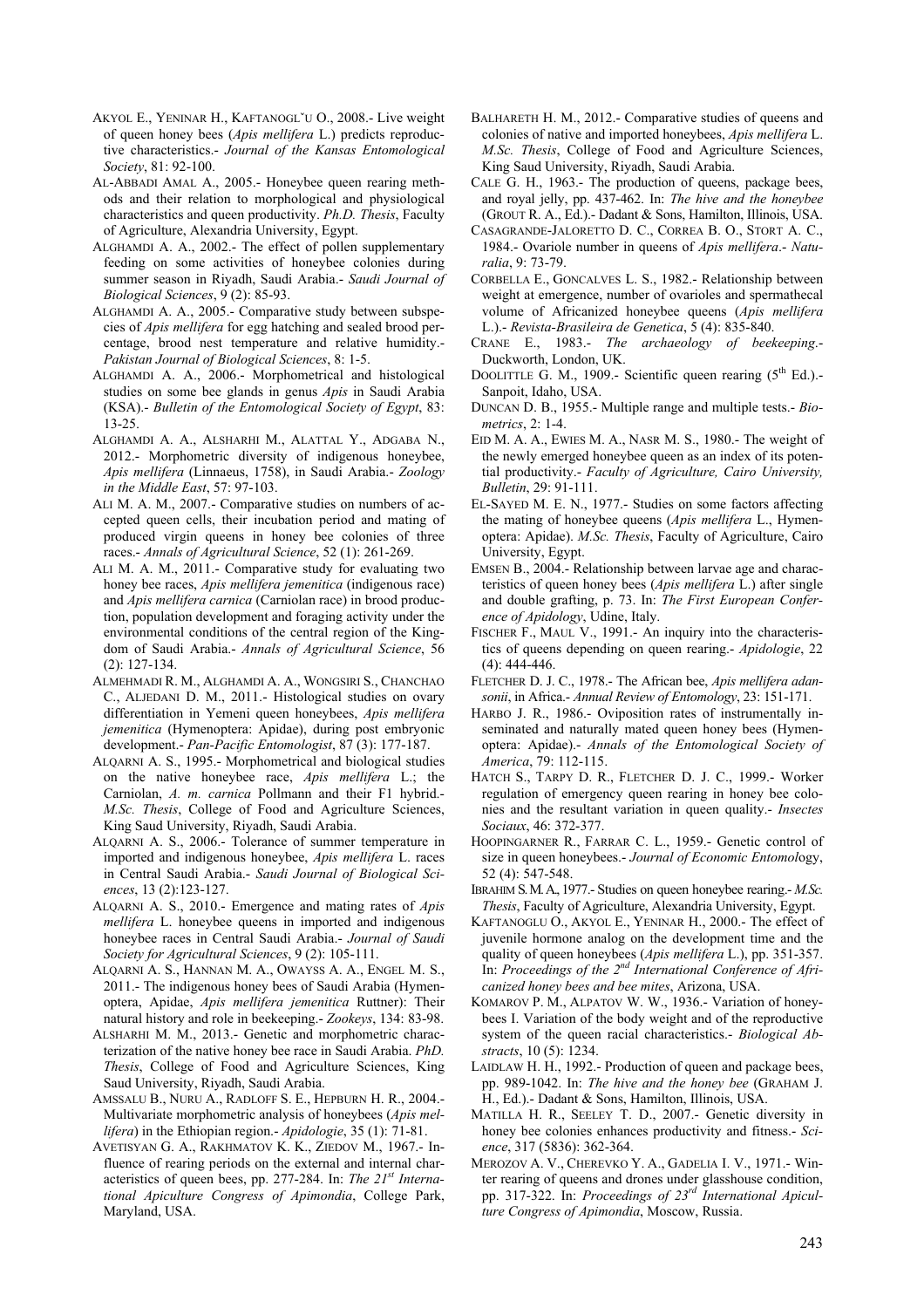- AKYOL E., YENINAR H., KAFTANOGLˇU O., 2008.- Live weight of queen honey bees (*Apis mellifera* L.) predicts reproductive characteristics.- *Journal of the Kansas Entomological Society*, 81: 92-100.
- AL-ABBADI AMAL A., 2005.- Honeybee queen rearing methods and their relation to morphological and physiological characteristics and queen productivity. *Ph.D. Thesis*, Faculty of Agriculture, Alexandria University, Egypt.
- ALGHAMDI A. A., 2002.- The effect of pollen supplementary feeding on some activities of honeybee colonies during summer season in Riyadh, Saudi Arabia.- *Saudi Journal of Biological Sciences*, 9 (2): 85-93.
- ALGHAMDI A. A., 2005.- Comparative study between subspecies of *Apis mellifera* for egg hatching and sealed brood percentage, brood nest temperature and relative humidity.- *Pakistan Journal of Biological Sciences*, 8: 1-5.
- ALGHAMDI A. A., 2006.- Morphometrical and histological studies on some bee glands in genus *Apis* in Saudi Arabia (KSA).- *Bulletin of the Entomological Society of Egypt*, 83: 13-25.
- ALGHAMDI A. A., ALSHARHI M., ALATTAL Y., ADGABA N., 2012.- Morphometric diversity of indigenous honeybee, *Apis mellifera* (Linnaeus, 1758), in Saudi Arabia.- *Zoology in the Middle East*, 57: 97-103.
- ALI M. A. M., 2007.- Comparative studies on numbers of accepted queen cells, their incubation period and mating of produced virgin queens in honey bee colonies of three races.- *Annals of Agricultural Science*, 52 (1): 261-269.
- ALI M. A. M., 2011.- Comparative study for evaluating two honey bee races, *Apis mellifera jemenitica* (indigenous race) and *Apis mellifera carnica* (Carniolan race) in brood production, population development and foraging activity under the environmental conditions of the central region of the Kingdom of Saudi Arabia.- *Annals of Agricultural Science*, 56 (2): 127-134.
- ALMEHMADI R. M., ALGHAMDI A. A., WONGSIRI S., CHANCHAO C., ALJEDANI D. M., 2011.- Histological studies on ovary differentiation in Yemeni queen honeybees, *Apis mellifera jemenitica* (Hymenoptera: Apidae), during post embryonic development.- *Pan-Pacific Entomologist*, 87 (3): 177-187.
- ALQARNI A. S., 1995.- Morphometrical and biological studies on the native honeybee race, *Apis mellifera* L.; the Carniolan, *A. m. carnica* Pollmann and their F1 hybrid.- *M.Sc. Thesis*, College of Food and Agriculture Sciences, King Saud University, Riyadh, Saudi Arabia.
- ALQARNI A. S., 2006.- Tolerance of summer temperature in imported and indigenous honeybee, *Apis mellifera* L. races in Central Saudi Arabia.- *Saudi Journal of Biological Sciences*, 13 (2):123-127.
- ALQARNI A. S., 2010.- Emergence and mating rates of *Apis mellifera* L. honeybee queens in imported and indigenous honeybee races in Central Saudi Arabia.- *Journal of Saudi Society for Agricultural Sciences*, 9 (2): 105-111.
- ALQARNI A. S., HANNAN M. A., OWAYSS A. A., ENGEL M. S., 2011.- The indigenous honey bees of Saudi Arabia (Hymenoptera, Apidae, *Apis mellifera jemenitica* Ruttner): Their natural history and role in beekeeping.- *Zookeys*, 134: 83-98.
- ALSHARHI M. M., 2013.- Genetic and morphometric characterization of the native honey bee race in Saudi Arabia. *PhD. Thesis*, College of Food and Agriculture Sciences, King Saud University, Riyadh, Saudi Arabia.
- AMSSALU B., NURU A., RADLOFF S. E., HEPBURN H. R., 2004.- Multivariate morphometric analysis of honeybees (*Apis mellifera*) in the Ethiopian region.- *Apidologie*, 35 (1): 71-81.
- AVETISYAN G. A., RAKHMATOV K. K., ZIEDOV M., 1967.- Influence of rearing periods on the external and internal characteristics of queen bees, pp. 277-284. In: *The 21st International Apiculture Congress of Apimondia*, College Park, Maryland, USA.
- BALHARETH H. M., 2012.- Comparative studies of queens and colonies of native and imported honeybees, *Apis mellifera* L. *M.Sc. Thesis*, College of Food and Agriculture Sciences, King Saud University, Riyadh, Saudi Arabia.
- CALE G. H., 1963.- The production of queens, package bees, and royal jelly, pp. 437-462. In: *The hive and the honeybee* (GROUT R. A., Ed.).- Dadant & Sons, Hamilton, Illinois, USA.
- CASAGRANDE-JALORETTO D. C., CORREA B. O., STORT A. C., 1984.- Ovariole number in queens of *Apis mellifera*.- *Naturalia*, 9: 73-79.
- CORBELLA E., GONCALVES L. S., 1982.- Relationship between weight at emergence, number of ovarioles and spermathecal volume of Africanized honeybee queens (*Apis mellifera* L.).- *Revista-Brasileira de Genetica*, 5 (4): 835-840.
- CRANE E., 1983.- *The archaeology of beekeeping*.- Duckworth, London, UK.
- DOOLITTLE G. M., 1909.- Scientific queen rearing  $(5<sup>th</sup> Ed.)$ . Sanpoit, Idaho, USA.
- DUNCAN D. B., 1955.- Multiple range and multiple tests.- *Biometrics*, 2: 1-4.
- EID M. A. A., EWIES M. A., NASR M. S., 1980.- The weight of the newly emerged honeybee queen as an index of its potential productivity.- *Faculty of Agriculture, Cairo University, Bulletin*, 29: 91-111.
- EL-SAYED M. E. N., 1977.- Studies on some factors affecting the mating of honeybee queens (*Apis mellifera* L., Hymenoptera: Apidae). *M.Sc. Thesis*, Faculty of Agriculture, Cairo University, Egypt.
- EMSEN B., 2004.- Relationship between larvae age and characteristics of queen honey bees (*Apis mellifera* L.) after single and double grafting, p. 73. In: *The First European Conference of Apidology*, Udine, Italy.
- FISCHER F., MAUL V., 1991.- An inquiry into the characteristics of queens depending on queen rearing.- *Apidologie*, 22 (4): 444-446.
- FLETCHER D. J. C., 1978.- The African bee, *Apis mellifera adansonii*, in Africa.- *Annual Review of Entomology*, 23: 151-171.
- HARBO J. R., 1986.- Oviposition rates of instrumentally inseminated and naturally mated queen honey bees (Hymenoptera: Apidae).- *Annals of the Entomological Society of America*, 79: 112-115.
- HATCH S., TARPY D. R., FLETCHER D. J. C., 1999.- Worker regulation of emergency queen rearing in honey bee colonies and the resultant variation in queen quality.- *Insectes Sociaux*, 46: 372-377.
- HOOPINGARNER R., FARRAR C. L., 1959.- Genetic control of size in queen honeybees.- *Journal of Economic Entomol*ogy, 52 (4): 547-548.
- IBRAHIM S. M. A., 1977.- Studies on queen honeybee rearing.- *M.Sc. Thesis*, Faculty of Agriculture, Alexandria University, Egypt.
- KAFTANOGLU O., AKYOL E., YENINAR H., 2000.- The effect of juvenile hormone analog on the development time and the quality of queen honeybees (*Apis mellifera* L.), pp. 351-357. In: *Proceedings of the 2nd International Conference of Africanized honey bees and bee mites*, Arizona, USA.
- KOMAROV P. M., ALPATOV W. W., 1936.- Variation of honeybees I. Variation of the body weight and of the reproductive system of the queen racial characteristics.- *Biological Abstracts*, 10 (5): 1234.
- LAIDLAW H. H., 1992.- Production of queen and package bees, pp. 989-1042. In: *The hive and the honey bee* (GRAHAM J. H., Ed.).- Dadant & Sons, Hamilton, Illinois, USA.
- MATILLA H. R., SEELEY T. D., 2007.- Genetic diversity in honey bee colonies enhances productivity and fitness.- *Science*, 317 (5836): 362-364.
- MEROZOV A. V., CHEREVKO Y. A., GADELIA I. V., 1971.- Winter rearing of queens and drones under glasshouse condition, pp. 317-322. In: *Proceedings of 23rd International Apiculture Congress of Apimondia*, Moscow, Russia.